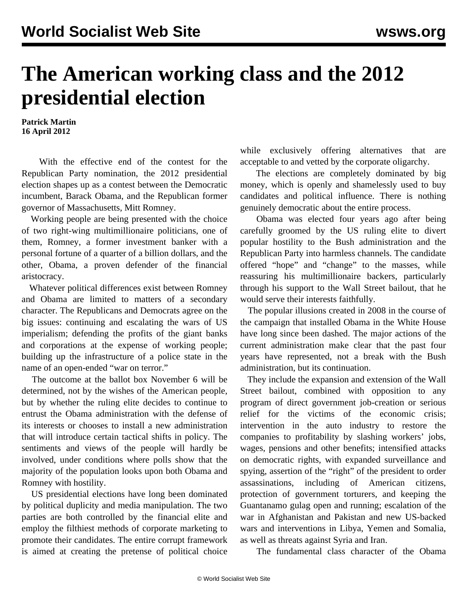## **The American working class and the 2012 presidential election**

**Patrick Martin 16 April 2012**

 With the effective end of the contest for the Republican Party nomination, the 2012 presidential election shapes up as a contest between the Democratic incumbent, Barack Obama, and the Republican former governor of Massachusetts, Mitt Romney.

 Working people are being presented with the choice of two right-wing multimillionaire politicians, one of them, Romney, a former investment banker with a personal fortune of a quarter of a billion dollars, and the other, Obama, a proven defender of the financial aristocracy.

 Whatever political differences exist between Romney and Obama are limited to matters of a secondary character. The Republicans and Democrats agree on the big issues: continuing and escalating the wars of US imperialism; defending the profits of the giant banks and corporations at the expense of working people; building up the infrastructure of a police state in the name of an open-ended "war on terror."

 The outcome at the ballot box November 6 will be determined, not by the wishes of the American people, but by whether the ruling elite decides to continue to entrust the Obama administration with the defense of its interests or chooses to install a new administration that will introduce certain tactical shifts in policy. The sentiments and views of the people will hardly be involved, under conditions where polls show that the majority of the population looks upon both Obama and Romney with hostility.

 US presidential elections have long been dominated by political duplicity and media manipulation. The two parties are both controlled by the financial elite and employ the filthiest methods of corporate marketing to promote their candidates. The entire corrupt framework is aimed at creating the pretense of political choice while exclusively offering alternatives that are acceptable to and vetted by the corporate oligarchy.

 The elections are completely dominated by big money, which is openly and shamelessly used to buy candidates and political influence. There is nothing genuinely democratic about the entire process.

 Obama was elected four years ago after being carefully groomed by the US ruling elite to divert popular hostility to the Bush administration and the Republican Party into harmless channels. The candidate offered "hope" and "change" to the masses, while reassuring his multimillionaire backers, particularly through his support to the Wall Street bailout, that he would serve their interests faithfully.

 The popular illusions created in 2008 in the course of the campaign that installed Obama in the White House have long since been dashed. The major actions of the current administration make clear that the past four years have represented, not a break with the Bush administration, but its continuation.

 They include the expansion and extension of the Wall Street bailout, combined with opposition to any program of direct government job-creation or serious relief for the victims of the economic crisis; intervention in the auto industry to restore the companies to profitability by slashing workers' jobs, wages, pensions and other benefits; intensified attacks on democratic rights, with expanded surveillance and spying, assertion of the "right" of the president to order assassinations, including of American citizens, protection of government torturers, and keeping the Guantanamo gulag open and running; escalation of the war in Afghanistan and Pakistan and new US-backed wars and interventions in Libya, Yemen and Somalia, as well as threats against Syria and Iran.

The fundamental class character of the Obama